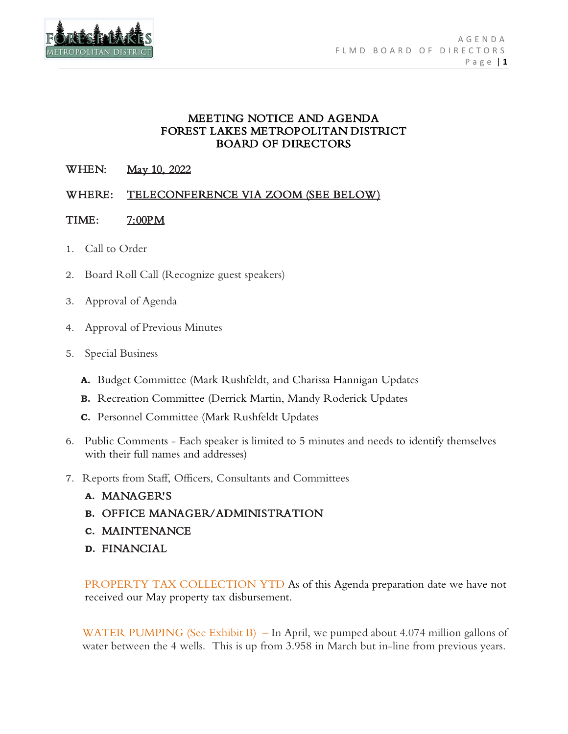

## MEETING NOTICE AND AGENDA FOREST LAKES METROPOLITAN DISTRICT BOARD OF DIRECTORS

# WHEN: May 10, 2022

# WHERE: TELECONFERENCE VIA ZOOM (SEE BELOW)

## TIME: 7:00PM

- 1. Call to Order
- 2. Board Roll Call (Recognize guest speakers)
- 3. Approval of Agenda
- 4. Approval of Previous Minutes
- 5. Special Business
	- **A.** Budget Committee (Mark Rushfeldt, and Charissa Hannigan Updates
	- **B.** Recreation Committee (Derrick Martin, Mandy Roderick Updates
	- **C.** Personnel Committee (Mark Rushfeldt Updates
- 6. Public Comments Each speaker is limited to 5 minutes and needs to identify themselves with their full names and addresses)
- 7. Reports from Staff, Officers, Consultants and Committees
	- **A.** MANAGER'S
	- **B.** OFFICE MANAGER/ADMINISTRATION
	- **C.** MAINTENANCE
	- **D.** FINANCIAL

PROPERTY TAX COLLECTION YTD As of this Agenda preparation date we have not received our May property tax disbursement.

WATER PUMPING (See Exhibit B) – In April, we pumped about 4.074 million gallons of water between the 4 wells. This is up from 3.958 in March but in-line from previous years.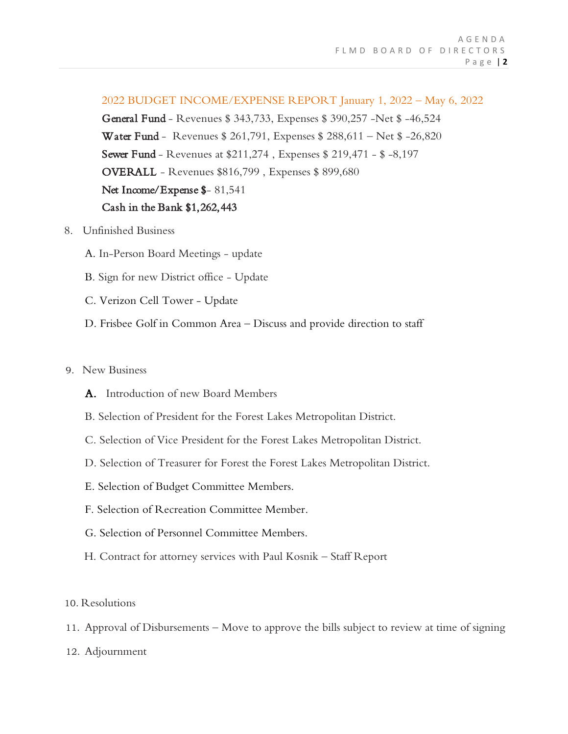### 2022 BUDGET INCOME/EXPENSE REPORT January 1, 2022 – May 6, 2022

General Fund - Revenues \$ 343,733, Expenses \$ 390,257 -Net \$ -46,524 Water Fund - Revenues \$ 261,791, Expenses \$ 288,611 – Net \$ -26,820 Sewer Fund - Revenues at \$211,274 , Expenses \$ 219,471 - \$ -8,197 OVERALL - Revenues \$816,799 , Expenses \$ 899,680 Net Income/Expense \$-81,541 Cash in the Bank \$1,262,443

- 8. Unfinished Business
	- A. In-Person Board Meetings update
	- B. Sign for new District office Update
	- C. Verizon Cell Tower Update
	- D. Frisbee Golf in Common Area Discuss and provide direction to staff

#### 9. New Business

- A. Introduction of new Board Members
- B. Selection of President for the Forest Lakes Metropolitan District.
- C. Selection of Vice President for the Forest Lakes Metropolitan District.
- D. Selection of Treasurer for Forest the Forest Lakes Metropolitan District.
- E. Selection of Budget Committee Members.
- F. Selection of Recreation Committee Member.
- G. Selection of Personnel Committee Members.
- H. Contract for attorney services with Paul Kosnik Staff Report
- 10. Resolutions
- 11. Approval of Disbursements Move to approve the bills subject to review at time of signing
- 12. Adjournment